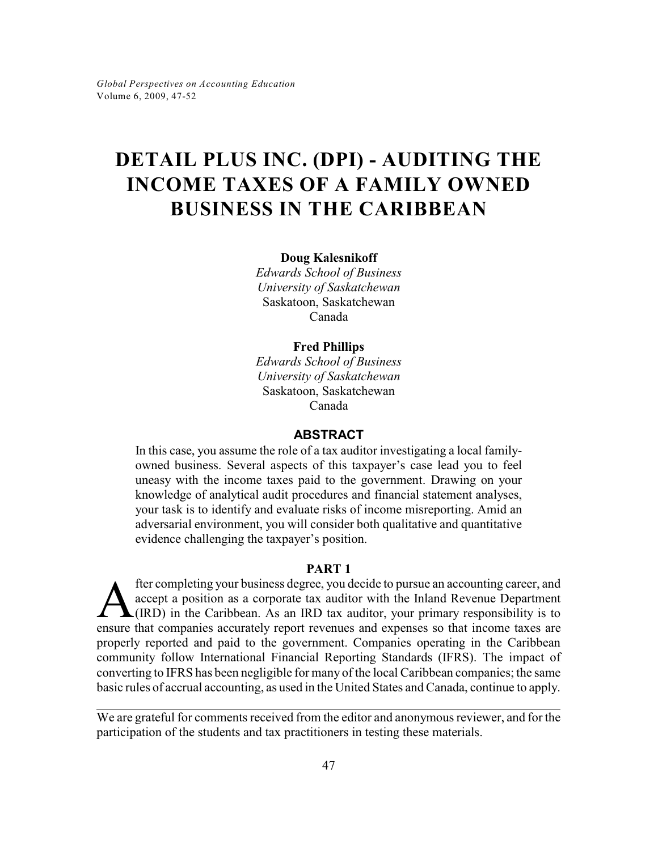# **DETAIL PLUS INC. (DPI) - AUDITING THE INCOME TAXES OF A FAMILY OWNED BUSINESS IN THE CARIBBEAN**

**Doug Kalesnikoff**

*Edwards School of Business University of Saskatchewan* Saskatoon, Saskatchewan Canada

# **Fred Phillips**

*Edwards School of Business University of Saskatchewan* Saskatoon, Saskatchewan Canada

# **ABSTRACT**

In this case, you assume the role of a tax auditor investigating a local familyowned business. Several aspects of this taxpayer's case lead you to feel uneasy with the income taxes paid to the government. Drawing on your knowledge of analytical audit procedures and financial statement analyses, your task is to identify and evaluate risks of income misreporting. Amid an adversarial environment, you will consider both qualitative and quantitative evidence challenging the taxpayer's position.

# **PART 1**

**A** fter completing your business degree, you decide to pursue an accounting career, and accept a position as a corporate tax auditor with the Inland Revenue Department (IRD) in the Caribbean. As an IRD tax auditor, your p fter completing your business degree, you decide to pursue an accounting career, and accept a position as a corporate tax auditor with the Inland Revenue Department  $\blacktriangle$ (IRD) in the Caribbean. As an IRD tax auditor, your primary responsibility is to properly reported and paid to the government. Companies operating in the Caribbean community follow International Financial Reporting Standards (IFRS). The impact of converting to IFRS has been negligible for many of the local Caribbean companies; the same basic rules of accrual accounting, as used in the United States and Canada, continue to apply.

We are grateful for comments received from the editor and anonymous reviewer, and for the participation of the students and tax practitioners in testing these materials.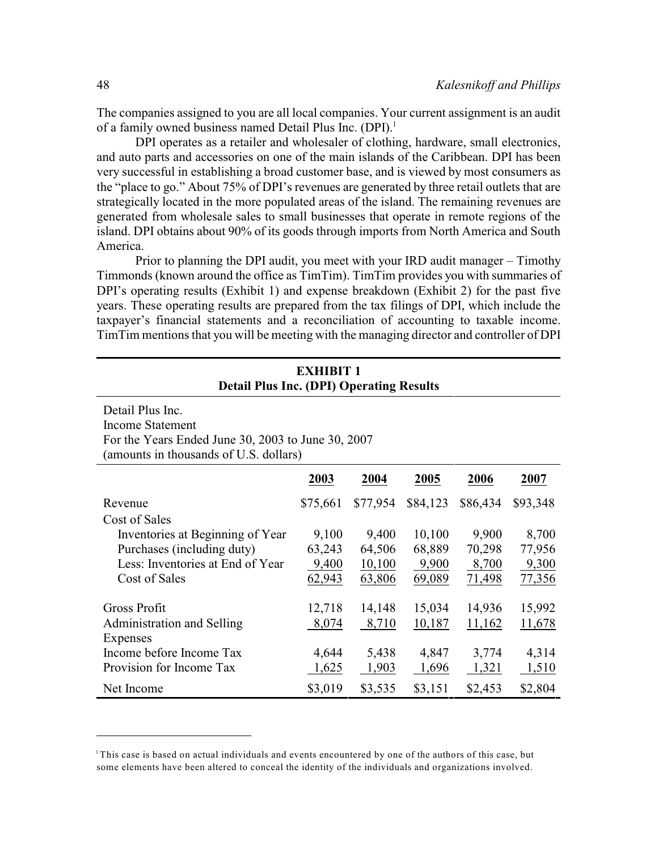The companies assigned to you are all local companies. Your current assignment is an audit of a family owned business named Detail Plus Inc. (DPI).<sup>1</sup>

DPI operates as a retailer and wholesaler of clothing, hardware, small electronics, and auto parts and accessories on one of the main islands of the Caribbean. DPI has been very successful in establishing a broad customer base, and is viewed by most consumers as the "place to go." About 75% of DPI's revenues are generated by three retail outlets that are strategically located in the more populated areas of the island. The remaining revenues are generated from wholesale sales to small businesses that operate in remote regions of the island. DPI obtains about 90% of its goods through imports from North America and South America.

Prior to planning the DPI audit, you meet with your IRD audit manager – Timothy Timmonds (known around the office as TimTim). TimTim provides you with summaries of DPI's operating results (Exhibit 1) and expense breakdown (Exhibit 2) for the past five years. These operating results are prepared from the tax filings of DPI, which include the taxpayer's financial statements and a reconciliation of accounting to taxable income. TimTim mentions that you will be meeting with the managing director and controller of DPI

| <b>Detail Plus Inc. (DPI) Operating Results</b>                                                                                             |          |          |          |          |               |
|---------------------------------------------------------------------------------------------------------------------------------------------|----------|----------|----------|----------|---------------|
| Detail Plus Inc.<br><b>Income Statement</b><br>For the Years Ended June 30, 2003 to June 30, 2007<br>(amounts in thousands of U.S. dollars) |          |          |          |          |               |
|                                                                                                                                             | 2003     | 2004     | 2005     | 2006     | 2007          |
| Revenue                                                                                                                                     | \$75,661 | \$77,954 | \$84,123 | \$86,434 | \$93,348      |
| Cost of Sales                                                                                                                               |          |          |          |          |               |
| Inventories at Beginning of Year                                                                                                            | 9,100    | 9,400    | 10,100   | 9,900    | 8,700         |
| Purchases (including duty)                                                                                                                  | 63,243   | 64,506   | 68,889   | 70,298   | 77,956        |
| Less: Inventories at End of Year                                                                                                            | 9,400    | 10,100   | 9,900    | 8,700    | 9,300         |
| Cost of Sales                                                                                                                               | 62,943   | 63,806   | 69,089   | 71,498   | 77,356        |
| Gross Profit                                                                                                                                | 12,718   | 14,148   | 15,034   | 14,936   | 15,992        |
| Administration and Selling                                                                                                                  | 8,074    | 8,710    | 10,187   | 11,162   | <u>11,678</u> |
| Expenses<br>Income before Income Tax                                                                                                        | 4,644    | 5,438    | 4,847    | 3,774    | 4,314         |
| Provision for Income Tax                                                                                                                    | 1,625    | 1,903    | 1,696    | 1,321    | 1,510         |
| Net Income                                                                                                                                  | \$3,019  | \$3,535  | \$3,151  | \$2,453  | \$2,804       |

# **EXHIBIT 1**

This case is based on actual individuals and events encountered by one of the authors of this case, but some elements have been altered to conceal the identity of the individuals and organizations involved.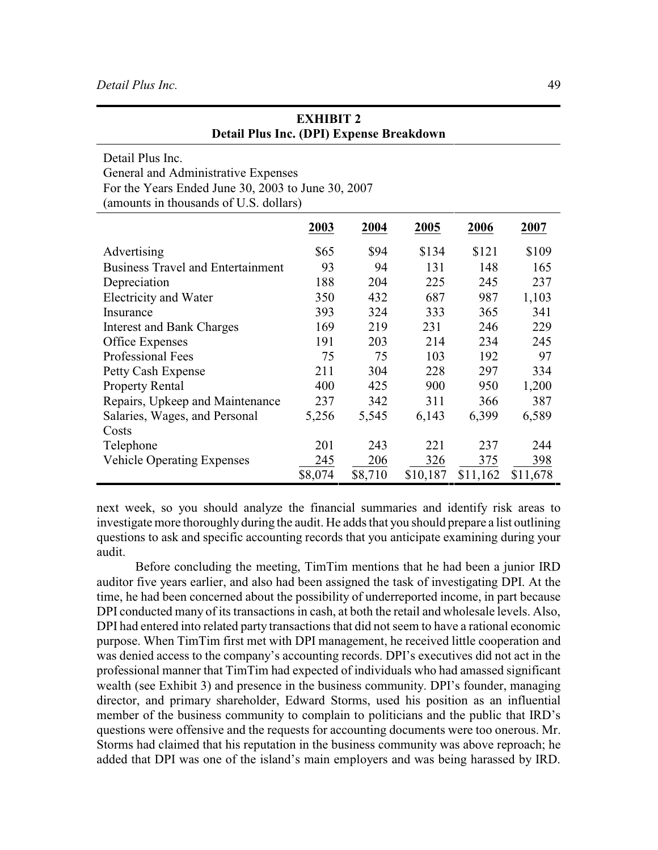| Detail Plus Inc.                                   |         |         |          |          |          |
|----------------------------------------------------|---------|---------|----------|----------|----------|
| General and Administrative Expenses                |         |         |          |          |          |
| For the Years Ended June 30, 2003 to June 30, 2007 |         |         |          |          |          |
| (amounts in thousands of U.S. dollars)             |         |         |          |          |          |
|                                                    | 2003    | 2004    | 2005     | 2006     | 2007     |
| Advertising                                        | \$65    | \$94    | \$134    | \$121    | \$109    |
| <b>Business Travel and Entertainment</b>           | 93      | 94      | 131      | 148      | 165      |
| Depreciation                                       | 188     | 204     | 225      | 245      | 237      |
| Electricity and Water                              | 350     | 432     | 687      | 987      | 1,103    |
| Insurance                                          | 393     | 324     | 333      | 365      | 341      |
| <b>Interest and Bank Charges</b>                   | 169     | 219     | 231      | 246      | 229      |
| Office Expenses                                    | 191     | 203     | 214      | 234      | 245      |
| Professional Fees                                  | 75      | 75      | 103      | 192      | 97       |
| Petty Cash Expense                                 | 211     | 304     | 228      | 297      | 334      |
| <b>Property Rental</b>                             | 400     | 425     | 900      | 950      | 1,200    |
| Repairs, Upkeep and Maintenance                    | 237     | 342     | 311      | 366      | 387      |
| Salaries, Wages, and Personal                      | 5,256   | 5,545   | 6,143    | 6,399    | 6,589    |
| Costs                                              |         |         |          |          |          |
| Telephone                                          | 201     | 243     | 221      | 237      | 244      |
| <b>Vehicle Operating Expenses</b>                  | 245     | 206     | 326      | 375      | 398      |
|                                                    | \$8,074 | \$8,710 | \$10,187 | \$11,162 | \$11,678 |

| <b>EXHIBIT 2</b>                                |
|-------------------------------------------------|
| <b>Detail Plus Inc. (DPI) Expense Breakdown</b> |

next week, so you should analyze the financial summaries and identify risk areas to investigate more thoroughly during the audit. He adds that you should prepare a list outlining questions to ask and specific accounting records that you anticipate examining during your audit.

Before concluding the meeting, TimTim mentions that he had been a junior IRD auditor five years earlier, and also had been assigned the task of investigating DPI. At the time, he had been concerned about the possibility of underreported income, in part because DPI conducted many of its transactions in cash, at both the retail and wholesale levels. Also, DPI had entered into related party transactions that did not seem to have a rational economic purpose. When TimTim first met with DPI management, he received little cooperation and was denied access to the company's accounting records. DPI's executives did not act in the professional manner that TimTim had expected of individuals who had amassed significant wealth (see Exhibit 3) and presence in the business community. DPI's founder, managing director, and primary shareholder, Edward Storms, used his position as an influential member of the business community to complain to politicians and the public that IRD's questions were offensive and the requests for accounting documents were too onerous. Mr. Storms had claimed that his reputation in the business community was above reproach; he added that DPI was one of the island's main employers and was being harassed by IRD.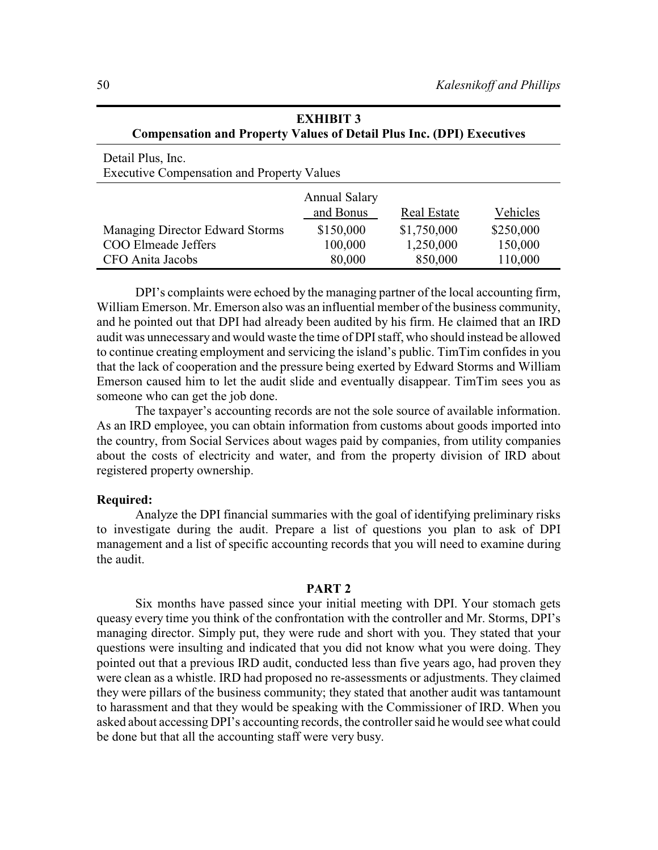| Detail Plus, Inc.                                 |                                   |             |           |
|---------------------------------------------------|-----------------------------------|-------------|-----------|
| <b>Executive Compensation and Property Values</b> |                                   |             |           |
|                                                   | <b>Annual Salary</b><br>and Bonus | Real Estate | Vehicles  |
| Managing Director Edward Storms                   | \$150,000                         | \$1,750,000 | \$250,000 |
| <b>COO Elmeade Jeffers</b>                        | 100,000                           | 1,250,000   | 150,000   |
| CFO Anita Jacobs                                  | 80,000                            | 850,000     | 110,000   |

| <b>EXHIBIT 3</b>                                                             |
|------------------------------------------------------------------------------|
| <b>Compensation and Property Values of Detail Plus Inc. (DPI) Executives</b> |

DPI's complaints were echoed by the managing partner of the local accounting firm, William Emerson. Mr. Emerson also was an influential member of the business community, and he pointed out that DPI had already been audited by his firm. He claimed that an IRD audit was unnecessary and would waste the time of DPIstaff, who should instead be allowed to continue creating employment and servicing the island's public. TimTim confides in you that the lack of cooperation and the pressure being exerted by Edward Storms and William Emerson caused him to let the audit slide and eventually disappear. TimTim sees you as someone who can get the job done.

The taxpayer's accounting records are not the sole source of available information. As an IRD employee, you can obtain information from customs about goods imported into the country, from Social Services about wages paid by companies, from utility companies about the costs of electricity and water, and from the property division of IRD about registered property ownership.

#### **Required:**

Analyze the DPI financial summaries with the goal of identifying preliminary risks to investigate during the audit. Prepare a list of questions you plan to ask of DPI management and a list of specific accounting records that you will need to examine during the audit.

#### **PART 2**

Six months have passed since your initial meeting with DPI. Your stomach gets queasy every time you think of the confrontation with the controller and Mr. Storms, DPI's managing director. Simply put, they were rude and short with you. They stated that your questions were insulting and indicated that you did not know what you were doing. They pointed out that a previous IRD audit, conducted less than five years ago, had proven they were clean as a whistle. IRD had proposed no re-assessments or adjustments. They claimed they were pillars of the business community; they stated that another audit was tantamount to harassment and that they would be speaking with the Commissioner of IRD. When you asked about accessing DPI's accounting records, the controller said he would see what could be done but that all the accounting staff were very busy.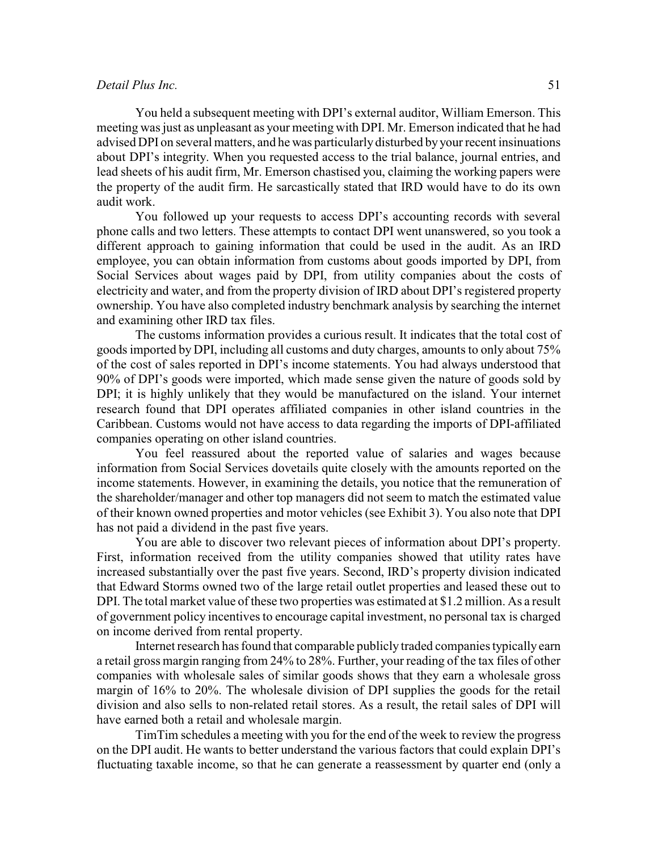# *Detail Plus Inc.* 51

You held a subsequent meeting with DPI's external auditor, William Emerson. This meeting was just as unpleasant as your meeting with DPI. Mr. Emerson indicated that he had advised DPI on several matters, and he was particularly disturbed by your recent insinuations about DPI's integrity. When you requested access to the trial balance, journal entries, and lead sheets of his audit firm, Mr. Emerson chastised you, claiming the working papers were the property of the audit firm. He sarcastically stated that IRD would have to do its own audit work.

You followed up your requests to access DPI's accounting records with several phone calls and two letters. These attempts to contact DPI went unanswered, so you took a different approach to gaining information that could be used in the audit. As an IRD employee, you can obtain information from customs about goods imported by DPI, from Social Services about wages paid by DPI, from utility companies about the costs of electricity and water, and from the property division of IRD about DPI's registered property ownership. You have also completed industry benchmark analysis by searching the internet and examining other IRD tax files.

The customs information provides a curious result. It indicates that the total cost of goods imported by DPI, including all customs and duty charges, amounts to only about 75% of the cost of sales reported in DPI's income statements. You had always understood that 90% of DPI's goods were imported, which made sense given the nature of goods sold by DPI; it is highly unlikely that they would be manufactured on the island. Your internet research found that DPI operates affiliated companies in other island countries in the Caribbean. Customs would not have access to data regarding the imports of DPI-affiliated companies operating on other island countries.

You feel reassured about the reported value of salaries and wages because information from Social Services dovetails quite closely with the amounts reported on the income statements. However, in examining the details, you notice that the remuneration of the shareholder/manager and other top managers did not seem to match the estimated value of their known owned properties and motor vehicles (see Exhibit 3). You also note that DPI has not paid a dividend in the past five years.

You are able to discover two relevant pieces of information about DPI's property. First, information received from the utility companies showed that utility rates have increased substantially over the past five years. Second, IRD's property division indicated that Edward Storms owned two of the large retail outlet properties and leased these out to DPI. The total market value of these two properties was estimated at \$1.2 million. As a result of government policy incentives to encourage capital investment, no personal tax is charged on income derived from rental property.

Internet research has found that comparable publicly traded companies typically earn a retail gross margin ranging from 24% to 28%. Further, your reading of the tax files of other companies with wholesale sales of similar goods shows that they earn a wholesale gross margin of 16% to 20%. The wholesale division of DPI supplies the goods for the retail division and also sells to non-related retail stores. As a result, the retail sales of DPI will have earned both a retail and wholesale margin.

TimTim schedules a meeting with you for the end of the week to review the progress on the DPI audit. He wants to better understand the various factors that could explain DPI's fluctuating taxable income, so that he can generate a reassessment by quarter end (only a